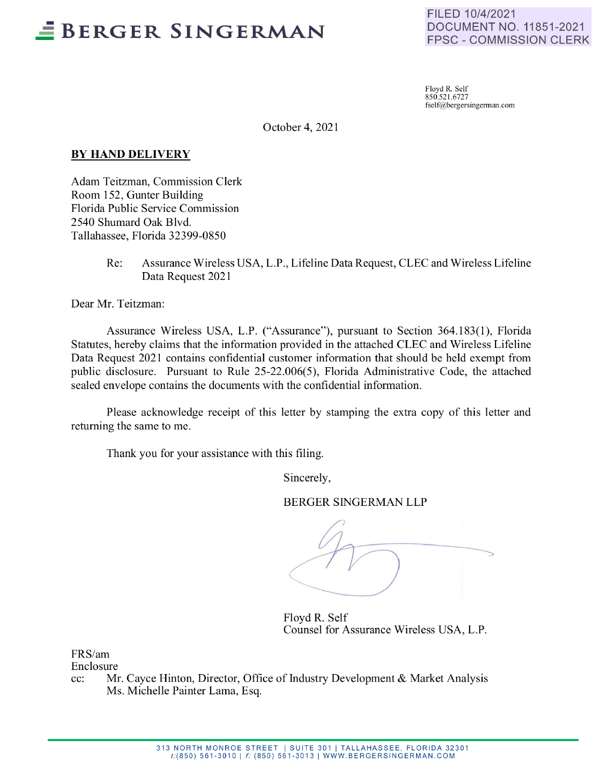## -- **BERGER SINGERMAN**

FILED 10/4/2021 DOCUMENT NO. 11851-2021 FPSC - COMMISSION CLERK

Floyd R. Self 850.52 1.6727 fself@bergersingerman.com

October 4, 2021

#### **BY HAND DELIVERY**

Adam Teitzman, Commission Clerk Room 152, Gunter Building Florida Public Service Commission 2540 Shumard Oak Blvd. Tallahassee, Florida 32399-0850

> Re: Assurance Wireless USA, L.P., Lifeline Data Request, CLEC and Wireless Lifeline Data Request 2021

Dear Mr. Teitzman:

Assurance Wireless USA, L.P. ("Assurance"), pursuant to Section 364.183(1), Florida Statutes, hereby claims that the information provided in the attached CLEC and Wireless Lifeline Data Request 2021 contains confidential customer information that should be held exempt from public disclosure. Pursuant to Rule 25-22.006(5), Florida Administrative Code, the attached sealed envelope contains the documents with the confidential information.

Please acknowledge receipt of this letter by stamping the extra copy of this letter and returning the same to me.

Thank you for your assistance with this filing.

Sincerely,

BERGER SINGERMAN LLP

Floyd R. Self Counsel for Assurance Wireless USA, L.P.

FRS/am

Enclosure

cc: Mr. Cayce Hinton, Director, Office of Industry Development & Market Analysis Ms. Michelle Painter Lama, Esq.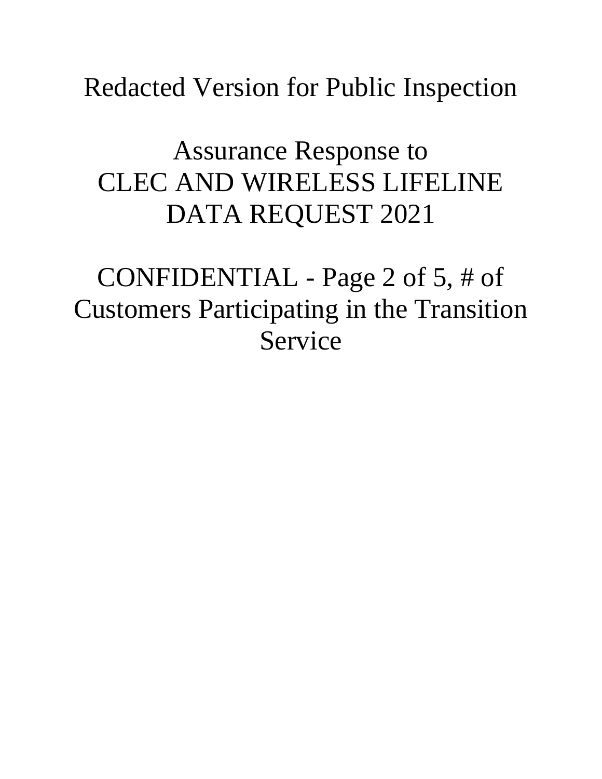Redacted Version for Public Inspection

# Assurance Response to CLEC AND WIRELESS LIFELINE DATA REQUEST 2021

CONFIDENTIAL - Page 2 of 5, # of Customers Participating in the Transition Service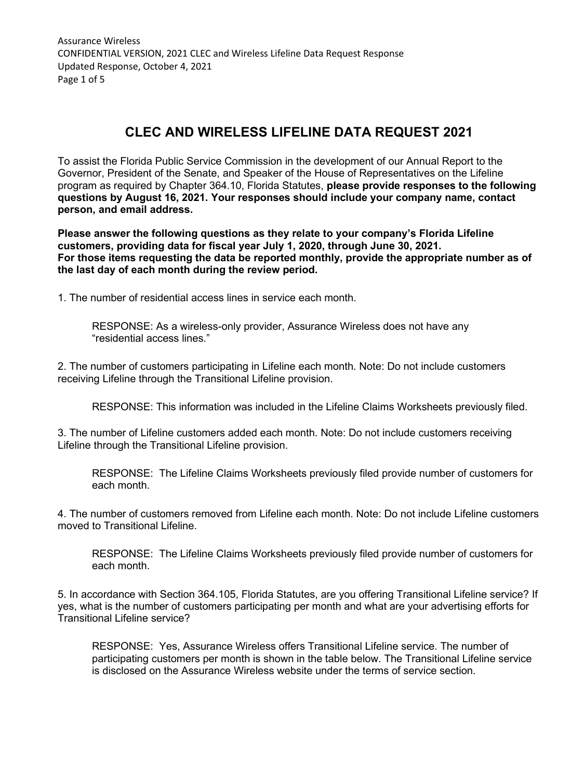Assurance Wireless CONFIDENTIAL VERSION, 2021 CLEC and Wireless Lifeline Data Request Response Updated Response, October 4, 2021 Page 1 of 5

## **CLEC AND WIRELESS LIFELINE DATA REQUEST 2021**

To assist the Florida Public Service Commission in the development of our Annual Report to the Governor, President of the Senate, and Speaker of the House of Representatives on the Lifeline program as required by Chapter 364.10, Florida Statutes, **please provide responses to the following questions by August 16, 2021. Your responses should include your company name, contact person, and email address.** 

**Please answer the following questions as they relate to your company's Florida Lifeline customers, providing data for fiscal year July 1, 2020, through June 30, 2021. For those items requesting the data be reported monthly, provide the appropriate number as of the last day of each month during the review period.**

1. The number of residential access lines in service each month.

RESPONSE: As a wireless-only provider, Assurance Wireless does not have any "residential access lines."

2. The number of customers participating in Lifeline each month. Note: Do not include customers receiving Lifeline through the Transitional Lifeline provision.

RESPONSE: This information was included in the Lifeline Claims Worksheets previously filed.

3. The number of Lifeline customers added each month. Note: Do not include customers receiving Lifeline through the Transitional Lifeline provision.

RESPONSE: The Lifeline Claims Worksheets previously filed provide number of customers for each month.

4. The number of customers removed from Lifeline each month. Note: Do not include Lifeline customers moved to Transitional Lifeline.

RESPONSE: The Lifeline Claims Worksheets previously filed provide number of customers for each month.

5. In accordance with Section 364.105, Florida Statutes, are you offering Transitional Lifeline service? If yes, what is the number of customers participating per month and what are your advertising efforts for Transitional Lifeline service?

RESPONSE: Yes, Assurance Wireless offers Transitional Lifeline service. The number of participating customers per month is shown in the table below. The Transitional Lifeline service is disclosed on the Assurance Wireless website under the terms of service section.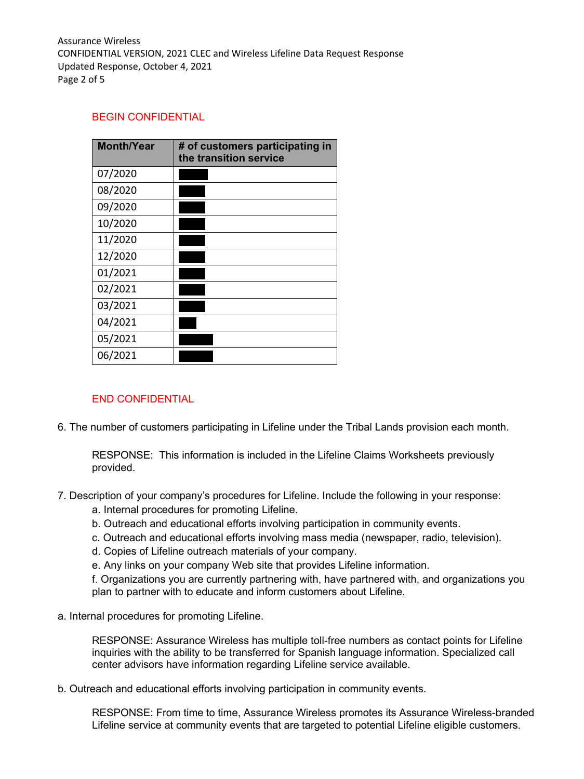Assurance Wireless CONFIDENTIAL VERSION, 2021 CLEC and Wireless Lifeline Data Request Response Updated Response, October 4, 2021 Page 2 of 5

#### BEGIN CONFIDENTIAL

| <b>Month/Year</b> | # of customers participating in<br>the transition service |
|-------------------|-----------------------------------------------------------|
| 07/2020           |                                                           |
| 08/2020           |                                                           |
| 09/2020           |                                                           |
| 10/2020           |                                                           |
| 11/2020           |                                                           |
| 12/2020           |                                                           |
| 01/2021           |                                                           |
| 02/2021           |                                                           |
| 03/2021           |                                                           |
| 04/2021           |                                                           |
| 05/2021           |                                                           |
| 06/2021           |                                                           |

### END CONFIDENTIAL

6. The number of customers participating in Lifeline under the Tribal Lands provision each month.

RESPONSE: This information is included in the Lifeline Claims Worksheets previously provided.

- 7. Description of your company's procedures for Lifeline. Include the following in your response:
	- a. Internal procedures for promoting Lifeline.
	- b. Outreach and educational efforts involving participation in community events.
	- c. Outreach and educational efforts involving mass media (newspaper, radio, television).
	- d. Copies of Lifeline outreach materials of your company.
	- e. Any links on your company Web site that provides Lifeline information.

f. Organizations you are currently partnering with, have partnered with, and organizations you plan to partner with to educate and inform customers about Lifeline.

a. Internal procedures for promoting Lifeline.

RESPONSE: Assurance Wireless has multiple toll-free numbers as contact points for Lifeline inquiries with the ability to be transferred for Spanish language information. Specialized call center advisors have information regarding Lifeline service available.

b. Outreach and educational efforts involving participation in community events.

RESPONSE: From time to time, Assurance Wireless promotes its Assurance Wireless-branded Lifeline service at community events that are targeted to potential Lifeline eligible customers.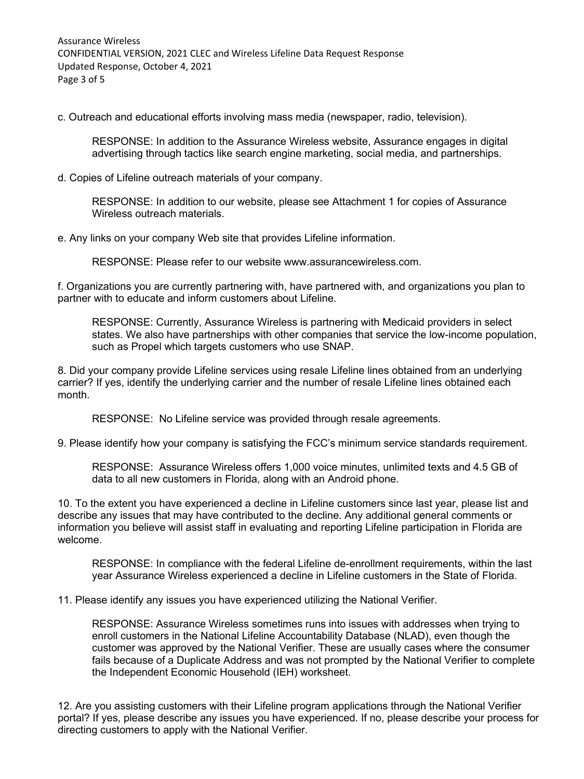Assurance Wireless CONFIDENTIAL VERSION, 2021 CLEC and Wireless Lifeline Data Request Response Updated Response, October 4, 2021 Page 3 of 5

c. Outreach and educational efforts involving mass media (newspaper, radio, television).

RESPONSE: In addition to the Assurance Wireless website, Assurance engages in digital advertising through tactics like search engine marketing, social media, and partnerships.

d. Copies of Lifeline outreach materials of your company.

RESPONSE: In addition to our website, please see Attachment 1 for copies of Assurance Wireless outreach materials.

e. Any links on your company Web site that provides Lifeline information.

RESPONSE: Please refer to our website www.assurancewireless.com.

f. Organizations you are currently partnering with, have partnered with, and organizations you plan to partner with to educate and inform customers about Lifeline.

RESPONSE: Currently, Assurance Wireless is partnering with Medicaid providers in select states. We also have partnerships with other companies that service the low-income population, such as Propel which targets customers who use SNAP.

8. Did your company provide Lifeline services using resale Lifeline lines obtained from an underlying carrier? If yes, identify the underlying carrier and the number of resale Lifeline lines obtained each month.

RESPONSE: No Lifeline service was provided through resale agreements.

9. Please identify how your company is satisfying the FCC's minimum service standards requirement.

RESPONSE: Assurance Wireless offers 1,000 voice minutes, unlimited texts and 4.5 GB of data to all new customers in Florida, along with an Android phone.

10. To the extent you have experienced a decline in Lifeline customers since last year, please list and describe any issues that may have contributed to the decline. Any additional general comments or information you believe will assist staff in evaluating and reporting Lifeline participation in Florida are welcome.

RESPONSE: In compliance with the federal Lifeline de-enrollment requirements, within the last year Assurance Wireless experienced a decline in Lifeline customers in the State of Florida.

11. Please identify any issues you have experienced utilizing the National Verifier.

RESPONSE: Assurance Wireless sometimes runs into issues with addresses when trying to enroll customers in the National Lifeline Accountability Database (NLAD), even though the customer was approved by the National Verifier. These are usually cases where the consumer fails because of a Duplicate Address and was not prompted by the National Verifier to complete the Independent Economic Household (IEH) worksheet.

12. Are you assisting customers with their Lifeline program applications through the National Verifier portal? If yes, please describe any issues you have experienced. If no, please describe your process for directing customers to apply with the National Verifier.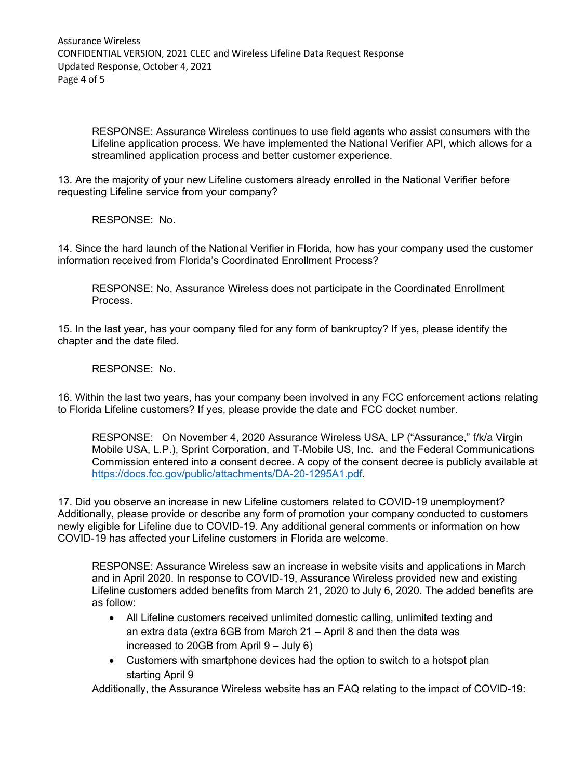RESPONSE: Assurance Wireless continues to use field agents who assist consumers with the Lifeline application process. We have implemented the National Verifier API, which allows for a streamlined application process and better customer experience.

13. Are the majority of your new Lifeline customers already enrolled in the National Verifier before requesting Lifeline service from your company?

RESPONSE: No.

14. Since the hard launch of the National Verifier in Florida, how has your company used the customer information received from Florida's Coordinated Enrollment Process?

RESPONSE: No, Assurance Wireless does not participate in the Coordinated Enrollment Process.

15. In the last year, has your company filed for any form of bankruptcy? If yes, please identify the chapter and the date filed.

RESPONSE: No.

16. Within the last two years, has your company been involved in any FCC enforcement actions relating to Florida Lifeline customers? If yes, please provide the date and FCC docket number.

RESPONSE: On November 4, 2020 Assurance Wireless USA, LP ("Assurance," f/k/a Virgin Mobile USA, L.P.), Sprint Corporation, and T-Mobile US, Inc. and the Federal Communications Commission entered into a consent decree. A copy of the consent decree is publicly available at [https://docs.fcc.gov/public/attachments/DA-20-1295A1.pdf.](https://docs.fcc.gov/public/attachments/DA-20-1295A1.pdf)

17. Did you observe an increase in new Lifeline customers related to COVID-19 unemployment? Additionally, please provide or describe any form of promotion your company conducted to customers newly eligible for Lifeline due to COVID-19. Any additional general comments or information on how COVID-19 has affected your Lifeline customers in Florida are welcome.

RESPONSE: Assurance Wireless saw an increase in website visits and applications in March and in April 2020. In response to COVID-19, Assurance Wireless provided new and existing Lifeline customers added benefits from March 21, 2020 to July 6, 2020. The added benefits are as follow:

- All Lifeline customers received unlimited domestic calling, unlimited texting and an extra data (extra 6GB from March 21 – April 8 and then the data was increased to 20GB from April 9 – July 6)
- Customers with smartphone devices had the option to switch to a hotspot plan starting April 9

Additionally, the Assurance Wireless website has an FAQ relating to the impact of COVID-19: